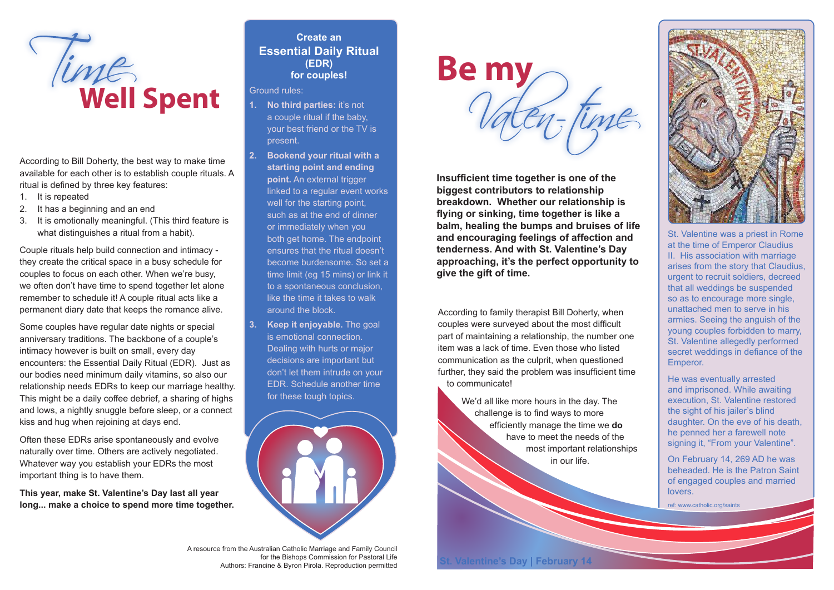

According to Bill Doherty, the best way to make time available for each other is to establish couple rituals. A ritual is defined by three key features:

- 1. It is repeated
- 2. It has a beginning and an end
- 3. It is emotionally meaningful. (This third feature is what distinguishes a ritual from a habit).

Couple rituals help build connection and intimacy they create the critical space in a busy schedule for couples to focus on each other. When we're busy, we often don't have time to spend together let alone remember to schedule it! A couple ritual acts like a permanent diary date that keeps the romance alive.

Some couples have regular date nights or special anniversary traditions. The backbone of a couple's intimacy however is built on small, every day encounters: the Essential Daily Ritual (EDR). Just as our bodies need minimum daily vitamins, so also our relationship needs EDRs to keep our marriage healthy. This might be a daily coffee debrief, a sharing of highs and lows, a nightly snuggle before sleep, or a connect kiss and hug when rejoining at days end.

Often these EDRs arise spontaneously and evolve naturally over time. Others are actively negotiated. Whatever way you establish your EDRs the most important thing is to have them.

**This year, make St. Valentine's Day last all year long... make a choice to spend more time together.**

## **Create an Essential Daily Ritual (EDR) for couples!**

### Ground rules:

- **1. No third parties:** it's not a couple ritual if the baby, your best friend or the TV is present.
- **2. Bookend your ritual with a starting point and ending point.** An external trigger linked to a regular event works well for the starting point, such as at the end of dinner or immediately when you both get home. The endpoint ensures that the ritual doesn't become burdensome. So set a time limit (eg 15 mins) or link it to a spontaneous conclusion, like the time it takes to walk around the block.
- **3. Keep it enjoyable.** The goal is emotional connection. Dealing with hurts or major decisions are important but don't let them intrude on your EDR. Schedule another time for these tough topics.





**Insufficient time together is one of the biggest contributors to relationship breakdown. Whether our relationship is flying or sinking, time together is like a balm, healing the bumps and bruises of life and encouraging feelings of affection and tenderness. And with St. Valentine's Day approaching, it's the perfect opportunity to give the gift of time.**

## According to family therapist Bill Doherty, when couples were surveyed about the most difficult part of maintaining a relationship, the number one item was a lack of time. Even those who listed communication as the culprit, when questioned further, they said the problem was insufficient time to communicate!

We'd all like more hours in the day. The challenge is to find ways to more efficiently manage the time we **do** have to meet the needs of the most important relationships in our life.



St. Valentine was a priest in Rome at the time of Emperor Claudius II. His association with marriage arises from the story that Claudius, urgent to recruit soldiers, decreed that all weddings be suspended so as to encourage more single, unattached men to serve in his armies. Seeing the anguish of the young couples forbidden to marry, St. Valentine allegedly performed secret weddings in defiance of the Emperor.

He was eventually arrested and imprisoned. While awaiting execution, St. Valentine restored the sight of his jailer's blind daughter. On the eve of his death, he penned her a farewell note signing it, "From your Valentine".

On February 14, 269 AD he was beheaded. He is the Patron Saint of engaged couples and married lovers.

ref: www.catholic.org/saints

A resource from the Australian Catholic Marriage and Family Council for the Bishops Commission for Pastoral Life Authors: Francine & Byron Pirola. Reproduction permitted **St. Valentine's Day | February 14**